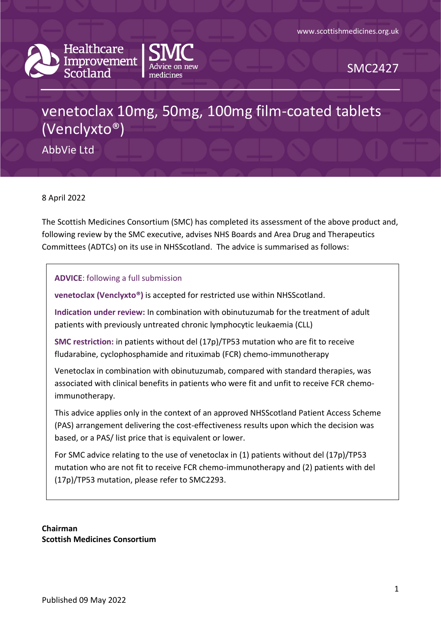



SMC2427

# venetoclax 10mg, 50mg, 100mg film-coated tablets (Venclyxto®)

AbbVie Ltd

8 April 2022

The Scottish Medicines Consortium (SMC) has completed its assessment of the above product and, following review by the SMC executive, advises NHS Boards and Area Drug and Therapeutics Committees (ADTCs) on its use in NHSScotland. The advice is summarised as follows:

**ADVICE**: following a full submission

**venetoclax (Venclyxto®)** is accepted for restricted use within NHSScotland.

**Indication under review:** In combination with obinutuzumab for the treatment of adult patients with previously untreated chronic lymphocytic leukaemia (CLL)

**SMC restriction:** in patients without del (17p)/TP53 mutation who are fit to receive fludarabine, cyclophosphamide and rituximab (FCR) chemo-immunotherapy

Venetoclax in combination with obinutuzumab, compared with standard therapies, was associated with clinical benefits in patients who were fit and unfit to receive FCR chemoimmunotherapy.

This advice applies only in the context of an approved NHSScotland Patient Access Scheme (PAS) arrangement delivering the cost-effectiveness results upon which the decision was based, or a PAS/ list price that is equivalent or lower.

For SMC advice relating to the use of venetoclax in (1) patients without del (17p)/TP53 mutation who are not fit to receive FCR chemo-immunotherapy and (2) patients with del (17p)/TP53 mutation, please refer to SMC2293.

**Chairman Scottish Medicines Consortium**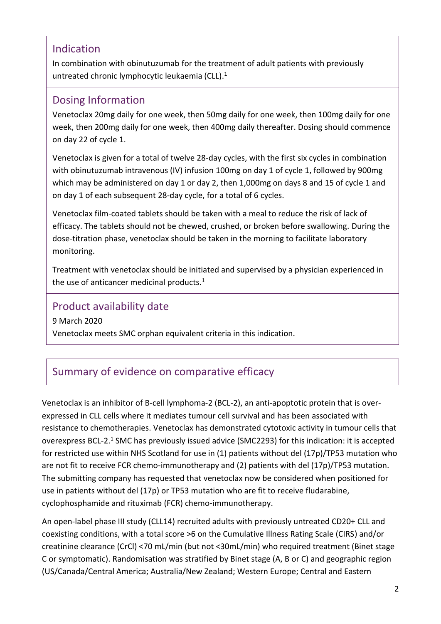#### Indication

In combination with obinutuzumab for the treatment of adult patients with previously untreated chronic lymphocytic leukaemia (CLL). 1

#### Dosing Information

Venetoclax 20mg daily for one week, then 50mg daily for one week, then 100mg daily for one week, then 200mg daily for one week, then 400mg daily thereafter. Dosing should commence on day 22 of cycle 1.

Venetoclax is given for a total of twelve 28-day cycles, with the first six cycles in combination with obinutuzumab intravenous (IV) infusion 100mg on day 1 of cycle 1, followed by 900mg which may be administered on day 1 or day 2, then 1,000mg on days 8 and 15 of cycle 1 and on day 1 of each subsequent 28-day cycle, for a total of 6 cycles.

Venetoclax film-coated tablets should be taken with a meal to reduce the risk of lack of efficacy. The tablets should not be chewed, crushed, or broken before swallowing. During the dose-titration phase, venetoclax should be taken in the morning to facilitate laboratory monitoring.

Treatment with venetoclax should be initiated and supervised by a physician experienced in the use of anticancer medicinal products.<sup>1</sup>

#### Product availability date

9 March 2020

Venetoclax meets SMC orphan equivalent criteria in this indication.

# Summary of evidence on comparative efficacy

Venetoclax is an inhibitor of B-cell lymphoma-2 (BCL-2), an anti-apoptotic protein that is overexpressed in CLL cells where it mediates tumour cell survival and has been associated with resistance to chemotherapies. Venetoclax has demonstrated cytotoxic activity in tumour cells that overexpress BCL-2.<sup>1</sup> SMC has previously issued advice (SMC2293) for this indication: it is accepted for restricted use within NHS Scotland for use in (1) patients without del (17p)/TP53 mutation who are not fit to receive FCR chemo-immunotherapy and (2) patients with del (17p)/TP53 mutation. The submitting company has requested that venetoclax now be considered when positioned for use in patients without del (17p) or TP53 mutation who are fit to receive fludarabine, cyclophosphamide and rituximab (FCR) chemo-immunotherapy.

An open-label phase III study (CLL14) recruited adults with previously untreated CD20+ CLL and coexisting conditions, with a total score >6 on the Cumulative Illness Rating Scale (CIRS) and/or creatinine clearance (CrCl) <70 mL/min (but not <30mL/min) who required treatment (Binet stage C or symptomatic). Randomisation was stratified by Binet stage (A, B or C) and geographic region (US/Canada/Central America; Australia/New Zealand; Western Europe; Central and Eastern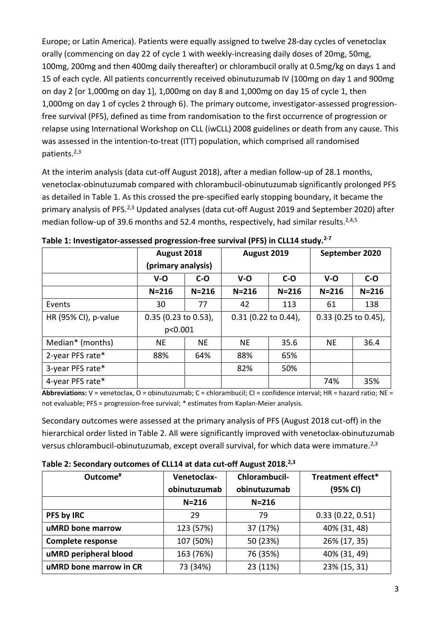Europe; or Latin America). Patients were equally assigned to twelve 28-day cycles of venetoclax orally (commencing on day 22 of cycle 1 with weekly-increasing daily doses of 20mg, 50mg, 100mg, 200mg and then 400mg daily thereafter) or chlorambucil orally at 0.5mg/kg on days 1 and 15 of each cycle. All patients concurrently received obinutuzumab IV (100mg on day 1 and 900mg on day 2 [or 1,000mg on day 1], 1,000mg on day 8 and 1,000mg on day 15 of cycle 1, then 1,000mg on day 1 of cycles 2 through 6). The primary outcome, investigator-assessed progressionfree survival (PFS), defined as time from randomisation to the first occurrence of progression or relapse using International Workshop on CLL (iwCLL) 2008 guidelines or death from any cause. This was assessed in the intention-to-treat (ITT) population, which comprised all randomised patients.2,3

At the interim analysis (data cut-off August 2018), after a median follow-up of 28.1 months, venetoclax-obinutuzumab compared with chlorambucil-obinutuzumab significantly prolonged PFS as detailed in Table 1. As this crossed the pre-specified early stopping boundary, it became the primary analysis of PFS.<sup>2,3</sup> Updated analyses (data cut-off August 2019 and September 2020) after median follow-up of 39.6 months and 52.4 months, respectively, had similar results.<sup>2,4,5</sup>

|                      | August 2018<br>(primary analysis) |           | August 2019            |           | September 2020         |           |
|----------------------|-----------------------------------|-----------|------------------------|-----------|------------------------|-----------|
|                      | $V - O$                           | $C-O$     | $V - O$                | $C-O$     | $V - O$                | $C-O$     |
|                      | $N = 216$                         | $N = 216$ | $N = 216$              | $N = 216$ | $N = 216$              | $N = 216$ |
| Events               | 30                                | 77        | 42                     | 113       | 61                     | 138       |
| HR (95% CI), p-value | $0.35$ (0.23 to 0.53),            |           | $0.31$ (0.22 to 0.44), |           | $0.33$ (0.25 to 0.45), |           |
|                      | p<0.001                           |           |                        |           |                        |           |
| Median* (months)     | <b>NE</b>                         | <b>NE</b> | <b>NE</b>              | 35.6      | <b>NE</b>              | 36.4      |
| 2-year PFS rate*     | 88%                               | 64%       | 88%                    | 65%       |                        |           |
| 3-year PFS rate*     |                                   |           | 82%                    | 50%       |                        |           |
| 4-year PFS rate*     |                                   |           |                        |           | 74%                    | 35%       |

| Table 1: Investigator-assessed progression-free survival (PFS) in CLL14 study. <sup>2-7</sup> |  |  |
|-----------------------------------------------------------------------------------------------|--|--|
|-----------------------------------------------------------------------------------------------|--|--|

**Abbreviations:** V = venetoclax, O = obinutuzumab; C = chlorambucil; CI = confidence interval; HR = hazard ratio; NE = not evaluable; PFS = progression-free survival; \* estimates from Kaplan-Meier analysis.

Secondary outcomes were assessed at the primary analysis of PFS (August 2018 cut-off) in the hierarchical order listed in Table 2. All were significantly improved with venetoclax-obinutuzumab versus chlorambucil-obinutuzumab, except overall survival, for which data were immature.<sup>2,3</sup>

| Outcome <sup>#</sup>   | Chlorambucil-<br>Venetoclax- |              | Treatment effect* |  |
|------------------------|------------------------------|--------------|-------------------|--|
|                        | obinutuzumab                 | obinutuzumab | (95% CI)          |  |
|                        | $N = 216$                    | $N = 216$    |                   |  |
| PFS by IRC             | 29                           | 79           | 0.33(0.22, 0.51)  |  |
| uMRD bone marrow       | 123 (57%)                    | 37 (17%)     | 40% (31, 48)      |  |
| Complete response      | 107 (50%)                    | 50 (23%)     | 26% (17, 35)      |  |
| uMRD peripheral blood  | 163 (76%)                    | 76 (35%)     | 40% (31, 49)      |  |
| uMRD bone marrow in CR | 73 (34%)                     | 23 (11%)     | 23% (15, 31)      |  |

**Table 2: Secondary outcomes of CLL14 at data cut-off August 2018.2,3**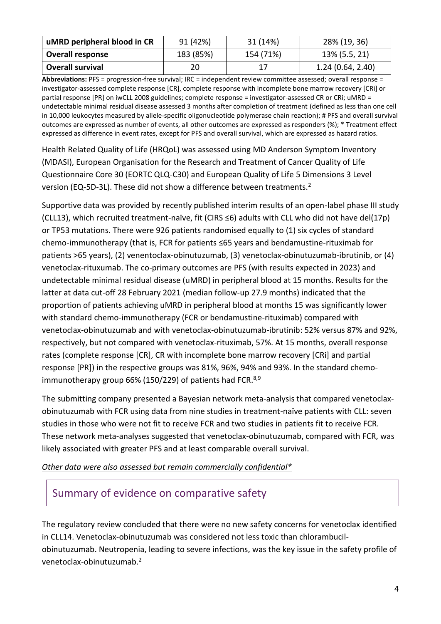| uMRD peripheral blood in CR | 91 (42%)  | 31 (14%)  | 28% (19, 36)     |
|-----------------------------|-----------|-----------|------------------|
| <b>Overall response</b>     | 183 (85%) | 154 (71%) | 13% (5.5, 21)    |
| <b>Overall survival</b>     | 20        |           | 1.24(0.64, 2.40) |

**Abbreviations:** PFS = progression-free survival; IRC = independent review committee assessed; overall response = investigator-assessed complete response [CR], complete response with incomplete bone marrow recovery [CRi] or partial response [PR] on iwCLL 2008 guidelines; complete response = investigator-assessed CR or CRi; uMRD = undetectable minimal residual disease assessed 3 months after completion of treatment (defined as less than one cell in 10,000 leukocytes measured by allele-specific oligonucleotide polymerase chain reaction); # PFS and overall survival outcomes are expressed as number of events, all other outcomes are expressed as responders (%); \* Treatment effect expressed as difference in event rates, except for PFS and overall survival, which are expressed as hazard ratios.

Health Related Quality of Life (HRQoL) was assessed using MD Anderson Symptom Inventory (MDASI), European Organisation for the Research and Treatment of Cancer Quality of Life Questionnaire Core 30 (EORTC QLQ-C30) and European Quality of Life 5 Dimensions 3 Level version (EQ-5D-3L). These did not show a difference between treatments.<sup>2</sup>

Supportive data was provided by recently published interim results of an open-label phase III study (CLL13), which recruited treatment-naïve, fit (CIRS ≤6) adults with CLL who did not have del(17p) or TP53 mutations. There were 926 patients randomised equally to (1) six cycles of standard chemo-immunotherapy (that is, FCR for patients ≤65 years and bendamustine-rituximab for patients >65 years), (2) venentoclax-obinutuzumab, (3) venetoclax-obinutuzumab-ibrutinib, or (4) venetoclax-rituxumab. The co-primary outcomes are PFS (with results expected in 2023) and undetectable minimal residual disease (uMRD) in peripheral blood at 15 months. Results for the latter at data cut-off 28 February 2021 (median follow-up 27.9 months) indicated that the proportion of patients achieving uMRD in peripheral blood at months 15 was significantly lower with standard chemo-immunotherapy (FCR or bendamustine-rituximab) compared with venetoclax-obinutuzumab and with venetoclax-obinutuzumab-ibrutinib: 52% versus 87% and 92%, respectively, but not compared with venetoclax-rituximab, 57%. At 15 months, overall response rates (complete response [CR], CR with incomplete bone marrow recovery [CRi] and partial response [PR]) in the respective groups was 81%, 96%, 94% and 93%. In the standard chemoimmunotherapy group 66% (150/229) of patients had FCR.<sup>8,9</sup>

The submitting company presented a Bayesian network meta-analysis that compared venetoclaxobinutuzumab with FCR using data from nine studies in treatment-naïve patients with CLL: seven studies in those who were not fit to receive FCR and two studies in patients fit to receive FCR. These network meta-analyses suggested that venetoclax-obinutuzumab, compared with FCR, was likely associated with greater PFS and at least comparable overall survival.

*Other data were also assessed but remain commercially confidential\**

#### Summary of evidence on comparative safety

The regulatory review concluded that there were no new safety concerns for venetoclax identified in CLL14. Venetoclax-obinutuzumab was considered not less toxic than chlorambucilobinutuzumab. Neutropenia, leading to severe infections, was the key issue in the safety profile of venetoclax-obinutuzumab.2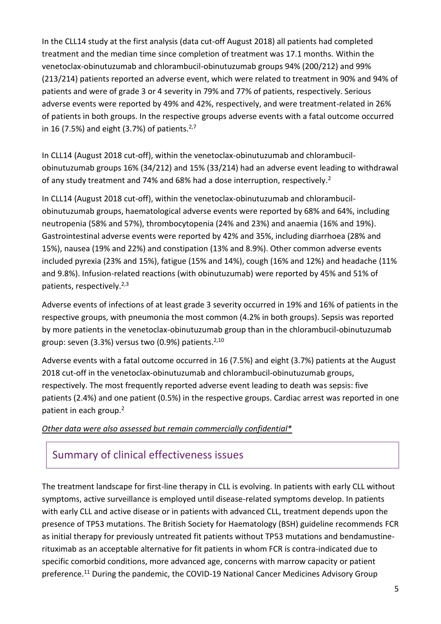In the CLL14 study at the first analysis (data cut-off August 2018) all patients had completed treatment and the median time since completion of treatment was 17.1 months. Within the venetoclax-obinutuzumab and chlorambucil-obinutuzumab groups 94% (200/212) and 99% (213/214) patients reported an adverse event, which were related to treatment in 90% and 94% of patients and were of grade 3 or 4 severity in 79% and 77% of patients, respectively. Serious adverse events were reported by 49% and 42%, respectively, and were treatment-related in 26% of patients in both groups. In the respective groups adverse events with a fatal outcome occurred in 16 (7.5%) and eight (3.7%) of patients. $2,7$ 

In CLL14 (August 2018 cut-off), within the venetoclax-obinutuzumab and chlorambucilobinutuzumab groups 16% (34/212) and 15% (33/214) had an adverse event leading to withdrawal of any study treatment and 74% and 68% had a dose interruption, respectively.<sup>2</sup>

In CLL14 (August 2018 cut-off), within the venetoclax-obinutuzumab and chlorambucilobinutuzumab groups, haematological adverse events were reported by 68% and 64%, including neutropenia (58% and 57%), thrombocytopenia (24% and 23%) and anaemia (16% and 19%). Gastrointestinal adverse events were reported by 42% and 35%, including diarrhoea (28% and 15%), nausea (19% and 22%) and constipation (13% and 8.9%). Other common adverse events included pyrexia (23% and 15%), fatigue (15% and 14%), cough (16% and 12%) and headache (11% and 9.8%). Infusion-related reactions (with obinutuzumab) were reported by 45% and 51% of patients, respectively.<sup>2,3</sup>

Adverse events of infections of at least grade 3 severity occurred in 19% and 16% of patients in the respective groups, with pneumonia the most common (4.2% in both groups). Sepsis was reported by more patients in the venetoclax-obinutuzumab group than in the chlorambucil-obinutuzumab group: seven (3.3%) versus two (0.9%) patients.<sup>2,10</sup>

Adverse events with a fatal outcome occurred in 16 (7.5%) and eight (3.7%) patients at the August 2018 cut-off in the venetoclax-obinutuzumab and chlorambucil-obinutuzumab groups, respectively. The most frequently reported adverse event leading to death was sepsis: five patients (2.4%) and one patient (0.5%) in the respective groups. Cardiac arrest was reported in one patient in each group.<sup>2</sup>

#### *Other data were also assessed but remain commercially confidential\**

#### Summary of clinical effectiveness issues

The treatment landscape for first-line therapy in CLL is evolving. In patients with early CLL without symptoms, active surveillance is employed until disease-related symptoms develop. In patients with early CLL and active disease or in patients with advanced CLL, treatment depends upon the presence of TP53 mutations. The British Society for Haematology (BSH) guideline recommends FCR as initial therapy for previously untreated fit patients without TP53 mutations and bendamustinerituximab as an acceptable alternative for fit patients in whom FCR is contra-indicated due to specific comorbid conditions, more advanced age, concerns with marrow capacity or patient preference.<sup>11</sup> During the pandemic, the COVID-19 National Cancer Medicines Advisory Group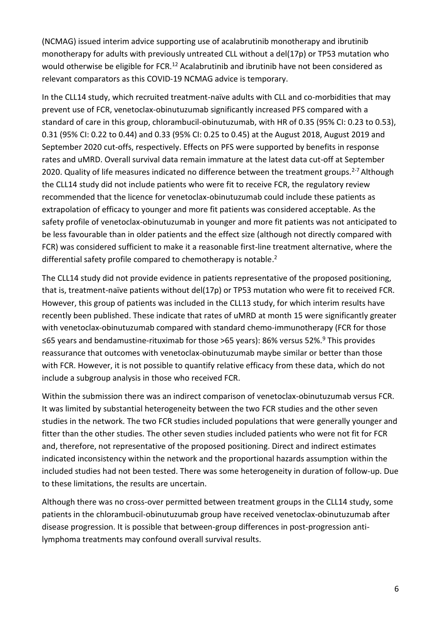(NCMAG) issued interim advice supporting use of acalabrutinib monotherapy and ibrutinib monotherapy for adults with previously untreated CLL without a del(17p) or TP53 mutation who would otherwise be eligible for FCR.<sup>12</sup> Acalabrutinib and ibrutinib have not been considered as relevant comparators as this COVID-19 NCMAG advice is temporary.

In the CLL14 study, which recruited treatment-naïve adults with CLL and co-morbidities that may prevent use of FCR, venetoclax-obinutuzumab significantly increased PFS compared with a standard of care in this group, chlorambucil-obinutuzumab, with HR of 0.35 (95% CI: 0.23 to 0.53), 0.31 (95% CI: 0.22 to 0.44) and 0.33 (95% CI: 0.25 to 0.45) at the August 2018, August 2019 and September 2020 cut-offs, respectively. Effects on PFS were supported by benefits in response rates and uMRD. Overall survival data remain immature at the latest data cut-off at September 2020. Quality of life measures indicated no difference between the treatment groups.<sup>2-7</sup> Although the CLL14 study did not include patients who were fit to receive FCR, the regulatory review recommended that the licence for venetoclax-obinutuzumab could include these patients as extrapolation of efficacy to younger and more fit patients was considered acceptable. As the safety profile of venetoclax-obinutuzumab in younger and more fit patients was not anticipated to be less favourable than in older patients and the effect size (although not directly compared with FCR) was considered sufficient to make it a reasonable first-line treatment alternative, where the differential safety profile compared to chemotherapy is notable.<sup>2</sup>

The CLL14 study did not provide evidence in patients representative of the proposed positioning, that is, treatment-naïve patients without del(17p) or TP53 mutation who were fit to received FCR. However, this group of patients was included in the CLL13 study, for which interim results have recently been published. These indicate that rates of uMRD at month 15 were significantly greater with venetoclax-obinutuzumab compared with standard chemo-immunotherapy (FCR for those ≤65 years and bendamustine-rituximab for those >65 years): 86% versus 52%.<sup>9</sup> This provides reassurance that outcomes with venetoclax-obinutuzumab maybe similar or better than those with FCR. However, it is not possible to quantify relative efficacy from these data, which do not include a subgroup analysis in those who received FCR.

Within the submission there was an indirect comparison of venetoclax-obinutuzumab versus FCR. It was limited by substantial heterogeneity between the two FCR studies and the other seven studies in the network. The two FCR studies included populations that were generally younger and fitter than the other studies. The other seven studies included patients who were not fit for FCR and, therefore, not representative of the proposed positioning. Direct and indirect estimates indicated inconsistency within the network and the proportional hazards assumption within the included studies had not been tested. There was some heterogeneity in duration of follow-up. Due to these limitations, the results are uncertain.

Although there was no cross-over permitted between treatment groups in the CLL14 study, some patients in the chlorambucil-obinutuzumab group have received venetoclax-obinutuzumab after disease progression. It is possible that between-group differences in post-progression antilymphoma treatments may confound overall survival results.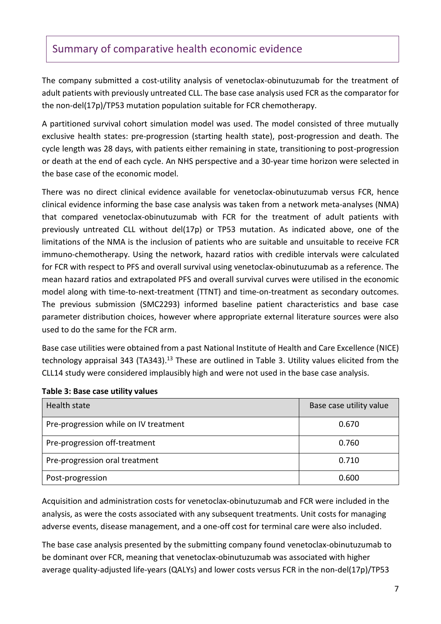#### Summary of comparative health economic evidence

The company submitted a cost-utility analysis of venetoclax-obinutuzumab for the treatment of adult patients with previously untreated CLL. The base case analysis used FCR as the comparator for the non-del(17p)/TP53 mutation population suitable for FCR chemotherapy.

A partitioned survival cohort simulation model was used. The model consisted of three mutually exclusive health states: pre-progression (starting health state), post-progression and death. The cycle length was 28 days, with patients either remaining in state, transitioning to post-progression or death at the end of each cycle. An NHS perspective and a 30-year time horizon were selected in the base case of the economic model.

There was no direct clinical evidence available for venetoclax-obinutuzumab versus FCR, hence clinical evidence informing the base case analysis was taken from a network meta-analyses (NMA) that compared venetoclax-obinutuzumab with FCR for the treatment of adult patients with previously untreated CLL without del(17p) or TP53 mutation. As indicated above, one of the limitations of the NMA is the inclusion of patients who are suitable and unsuitable to receive FCR immuno-chemotherapy. Using the network, hazard ratios with credible intervals were calculated for FCR with respect to PFS and overall survival using venetoclax-obinutuzumab as a reference. The mean hazard ratios and extrapolated PFS and overall survival curves were utilised in the economic model along with time-to-next-treatment (TTNT) and time-on-treatment as secondary outcomes. The previous submission (SMC2293) informed baseline patient characteristics and base case parameter distribution choices, however where appropriate external literature sources were also used to do the same for the FCR arm.

Base case utilities were obtained from a past National Institute of Health and Care Excellence (NICE) technology appraisal 343 (TA343).<sup>13</sup> These are outlined in Table 3. Utility values elicited from the CLL14 study were considered implausibly high and were not used in the base case analysis.

| Health state                          | Base case utility value |
|---------------------------------------|-------------------------|
| Pre-progression while on IV treatment | 0.670                   |
| Pre-progression off-treatment         | 0.760                   |
| Pre-progression oral treatment        | 0.710                   |
| Post-progression                      | 0.600                   |

#### **Table 3: Base case utility values**

Acquisition and administration costs for venetoclax-obinutuzumab and FCR were included in the analysis, as were the costs associated with any subsequent treatments. Unit costs for managing adverse events, disease management, and a one-off cost for terminal care were also included.

The base case analysis presented by the submitting company found venetoclax-obinutuzumab to be dominant over FCR, meaning that venetoclax-obinutuzumab was associated with higher average quality-adjusted life-years (QALYs) and lower costs versus FCR in the non-del(17p)/TP53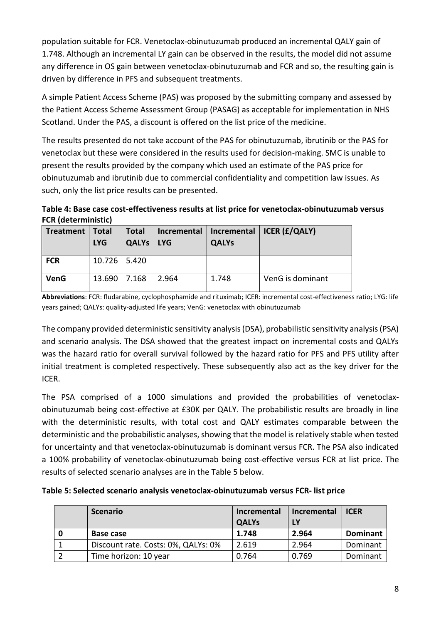population suitable for FCR. Venetoclax-obinutuzumab produced an incremental QALY gain of 1.748. Although an incremental LY gain can be observed in the results, the model did not assume any difference in OS gain between venetoclax-obinutuzumab and FCR and so, the resulting gain is driven by difference in PFS and subsequent treatments.

A simple Patient Access Scheme (PAS) was proposed by the submitting company and assessed by the Patient Access Scheme Assessment Group (PASAG) as acceptable for implementation in NHS Scotland. Under the PAS, a discount is offered on the list price of the medicine.

The results presented do not take account of the PAS for obinutuzumab, ibrutinib or the PAS for venetoclax but these were considered in the results used for decision-making. SMC is unable to present the results provided by the company which used an estimate of the PAS price for obinutuzumab and ibrutinib due to commercial confidentiality and competition law issues. As such, only the list price results can be presented.

**Table 4: Base case cost-effectiveness results at list price for venetoclax-obinutuzumab versus FCR (deterministic)**

| <b>Treatment</b> | Total<br><b>LYG</b> | <b>Total</b><br><b>QALYs</b> | I LYG | <b>QALYs</b> | Incremental   Incremental   ICER (£/QALY) |
|------------------|---------------------|------------------------------|-------|--------------|-------------------------------------------|
| <b>FCR</b>       | 10.726   5.420      |                              |       |              |                                           |
| <b>VenG</b>      | 13.690 7.168        |                              | 2.964 | 1.748        | VenG is dominant                          |

**Abbreviations**: FCR: fludarabine, cyclophosphamide and rituximab; ICER: incremental cost-effectiveness ratio; LYG: life years gained; QALYs: quality-adjusted life years; VenG: venetoclax with obinutuzumab

The company provided deterministic sensitivity analysis (DSA), probabilistic sensitivity analysis (PSA) and scenario analysis. The DSA showed that the greatest impact on incremental costs and QALYs was the hazard ratio for overall survival followed by the hazard ratio for PFS and PFS utility after initial treatment is completed respectively. These subsequently also act as the key driver for the ICER.

The PSA comprised of a 1000 simulations and provided the probabilities of venetoclaxobinutuzumab being cost-effective at £30K per QALY. The probabilistic results are broadly in line with the deterministic results, with total cost and QALY estimates comparable between the deterministic and the probabilistic analyses, showing that the model is relatively stable when tested for uncertainty and that venetoclax-obinutuzumab is dominant versus FCR. The PSA also indicated a 100% probability of venetoclax-obinutuzumab being cost-effective versus FCR at list price. The results of selected scenario analyses are in the Table 5 below.

| Table 5: Selected scenario analysis venetoclax-obinutuzumab versus FCR- list price |  |
|------------------------------------------------------------------------------------|--|
|------------------------------------------------------------------------------------|--|

|   | <b>Scenario</b>                     | Incremental<br><b>QALYs</b> | Incremental   ICER<br><b>LY</b> |                 |
|---|-------------------------------------|-----------------------------|---------------------------------|-----------------|
| 0 | Base case                           | 1.748                       | 2.964                           | <b>Dominant</b> |
|   | Discount rate. Costs: 0%, QALYs: 0% | 2.619                       | 2.964                           | Dominant        |
|   | Time horizon: 10 year               | 0.764                       | 0.769                           | Dominant        |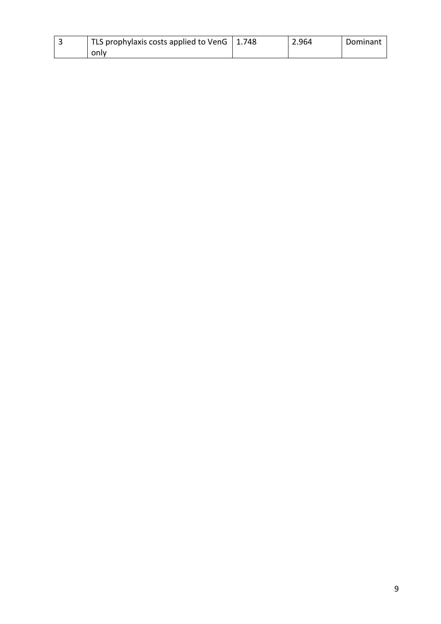| TLS prophylaxis costs applied to VenG   1.748 | 2.964 | Dominant |
|-----------------------------------------------|-------|----------|
| only                                          |       |          |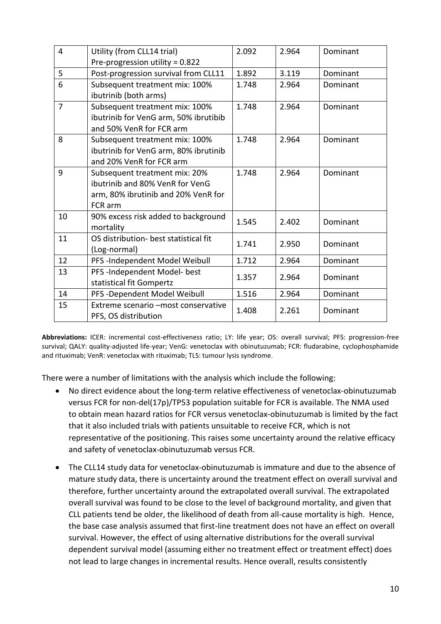| $\overline{4}$ | Utility (from CLL14 trial)                                                                                         | 2.092 | 2.964 | Dominant |
|----------------|--------------------------------------------------------------------------------------------------------------------|-------|-------|----------|
|                | Pre-progression utility = 0.822                                                                                    |       |       |          |
| 5              | Post-progression survival from CLL11                                                                               | 1.892 | 3.119 | Dominant |
| 6              | Subsequent treatment mix: 100%<br>ibutrinib (both arms)                                                            | 1.748 | 2.964 | Dominant |
| $\overline{7}$ | Subsequent treatment mix: 100%<br>ibutrinib for VenG arm, 50% ibrutibib<br>and 50% VenR for FCR arm                | 1.748 | 2.964 | Dominant |
| 8              | Subsequent treatment mix: 100%<br>ibutrinib for VenG arm, 80% ibrutinib<br>and 20% VenR for FCR arm                | 1.748 | 2.964 | Dominant |
| 9              | Subsequent treatment mix: 20%<br>ibutrinib and 80% VenR for VenG<br>arm, 80% ibrutinib and 20% VenR for<br>FCR arm | 1.748 | 2.964 | Dominant |
| 10             | 90% excess risk added to background<br>mortality                                                                   | 1.545 | 2.402 | Dominant |
| 11             | OS distribution- best statistical fit<br>(Log-normal)                                                              | 1.741 | 2.950 | Dominant |
| 12             | PFS-Independent Model Weibull                                                                                      | 1.712 | 2.964 | Dominant |
| 13             | PFS-Independent Model- best<br>statistical fit Gompertz                                                            | 1.357 | 2.964 | Dominant |
| 14             | PFS -Dependent Model Weibull                                                                                       | 1.516 | 2.964 | Dominant |
| 15             | Extreme scenario -most conservative<br>PFS, OS distribution                                                        | 1.408 | 2.261 | Dominant |

**Abbreviations:** ICER: incremental cost-effectiveness ratio; LY: life year; OS: overall survival; PFS: progression-free survival; QALY: quality-adjusted life-year; VenG: venetoclax with obinutuzumab; FCR: fludarabine, cyclophosphamide and rituximab; VenR: venetoclax with rituximab; TLS: tumour lysis syndrome.

There were a number of limitations with the analysis which include the following:

- No direct evidence about the long-term relative effectiveness of venetoclax-obinutuzumab versus FCR for non-del(17p)/TP53 population suitable for FCR is available. The NMA used to obtain mean hazard ratios for FCR versus venetoclax-obinutuzumab is limited by the fact that it also included trials with patients unsuitable to receive FCR, which is not representative of the positioning. This raises some uncertainty around the relative efficacy and safety of venetoclax-obinutuzumab versus FCR.
- The CLL14 study data for venetoclax-obinutuzumab is immature and due to the absence of mature study data, there is uncertainty around the treatment effect on overall survival and therefore, further uncertainty around the extrapolated overall survival. The extrapolated overall survival was found to be close to the level of background mortality, and given that CLL patients tend be older, the likelihood of death from all-cause mortality is high. Hence, the base case analysis assumed that first-line treatment does not have an effect on overall survival. However, the effect of using alternative distributions for the overall survival dependent survival model (assuming either no treatment effect or treatment effect) does not lead to large changes in incremental results. Hence overall, results consistently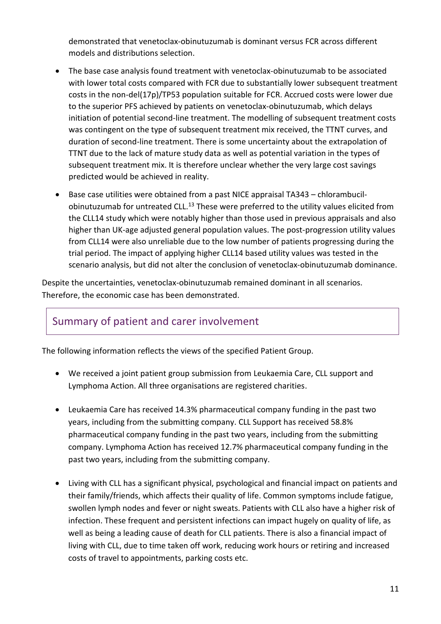demonstrated that venetoclax-obinutuzumab is dominant versus FCR across different models and distributions selection.

- The base case analysis found treatment with venetoclax-obinutuzumab to be associated with lower total costs compared with FCR due to substantially lower subsequent treatment costs in the non-del(17p)/TP53 population suitable for FCR. Accrued costs were lower due to the superior PFS achieved by patients on venetoclax-obinutuzumab, which delays initiation of potential second-line treatment. The modelling of subsequent treatment costs was contingent on the type of subsequent treatment mix received, the TTNT curves, and duration of second-line treatment. There is some uncertainty about the extrapolation of TTNT due to the lack of mature study data as well as potential variation in the types of subsequent treatment mix. It is therefore unclear whether the very large cost savings predicted would be achieved in reality.
- Base case utilities were obtained from a past NICE appraisal TA343 chlorambucilobinutuzumab for untreated CLL.<sup>13</sup> These were preferred to the utility values elicited from the CLL14 study which were notably higher than those used in previous appraisals and also higher than UK-age adjusted general population values. The post-progression utility values from CLL14 were also unreliable due to the low number of patients progressing during the trial period. The impact of applying higher CLL14 based utility values was tested in the scenario analysis, but did not alter the conclusion of venetoclax-obinutuzumab dominance.

Despite the uncertainties, venetoclax-obinutuzumab remained dominant in all scenarios. Therefore, the economic case has been demonstrated.

### Summary of patient and carer involvement

The following information reflects the views of the specified Patient Group.

- We received a joint patient group submission from Leukaemia Care, CLL support and Lymphoma Action. All three organisations are registered charities.
- Leukaemia Care has received 14.3% pharmaceutical company funding in the past two years, including from the submitting company. CLL Support has received 58.8% pharmaceutical company funding in the past two years, including from the submitting company. Lymphoma Action has received 12.7% pharmaceutical company funding in the past two years, including from the submitting company.
- Living with CLL has a significant physical, psychological and financial impact on patients and their family/friends, which affects their quality of life. Common symptoms include fatigue, swollen lymph nodes and fever or night sweats. Patients with CLL also have a higher risk of infection. These frequent and persistent infections can impact hugely on quality of life, as well as being a leading cause of death for CLL patients. There is also a financial impact of living with CLL, due to time taken off work, reducing work hours or retiring and increased costs of travel to appointments, parking costs etc.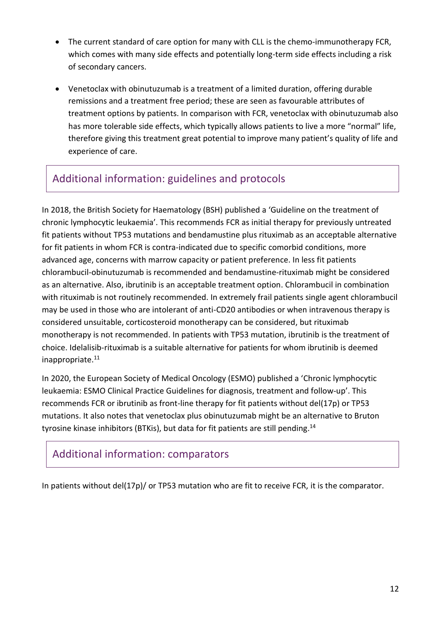- The current standard of care option for many with CLL is the chemo-immunotherapy FCR, which comes with many side effects and potentially long-term side effects including a risk of secondary cancers.
- Venetoclax with obinutuzumab is a treatment of a limited duration, offering durable remissions and a treatment free period; these are seen as favourable attributes of treatment options by patients. In comparison with FCR, venetoclax with obinutuzumab also has more tolerable side effects, which typically allows patients to live a more "normal" life, therefore giving this treatment great potential to improve many patient's quality of life and experience of care.

## Additional information: guidelines and protocols

In 2018, the British Society for Haematology (BSH) published a 'Guideline on the treatment of chronic lymphocytic leukaemia'. This recommends FCR as initial therapy for previously untreated fit patients without TP53 mutations and bendamustine plus rituximab as an acceptable alternative for fit patients in whom FCR is contra-indicated due to specific comorbid conditions, more advanced age, concerns with marrow capacity or patient preference. In less fit patients chlorambucil-obinutuzumab is recommended and bendamustine-rituximab might be considered as an alternative. Also, ibrutinib is an acceptable treatment option. Chlorambucil in combination with rituximab is not routinely recommended. In extremely frail patients single agent chlorambucil may be used in those who are intolerant of anti-CD20 antibodies or when intravenous therapy is considered unsuitable, corticosteroid monotherapy can be considered, but rituximab monotherapy is not recommended. In patients with TP53 mutation, ibrutinib is the treatment of choice. Idelalisib-rituximab is a suitable alternative for patients for whom ibrutinib is deemed inappropriate. 11

In 2020, the European Society of Medical Oncology (ESMO) published a 'Chronic lymphocytic leukaemia: ESMO Clinical Practice Guidelines for diagnosis, treatment and follow-up'. This recommends FCR or ibrutinib as front-line therapy for fit patients without del(17p) or TP53 mutations. It also notes that venetoclax plus obinutuzumab might be an alternative to Bruton tyrosine kinase inhibitors (BTKis), but data for fit patients are still pending.<sup>14</sup>

### Additional information: comparators

In patients without del(17p)/ or TP53 mutation who are fit to receive FCR, it is the comparator.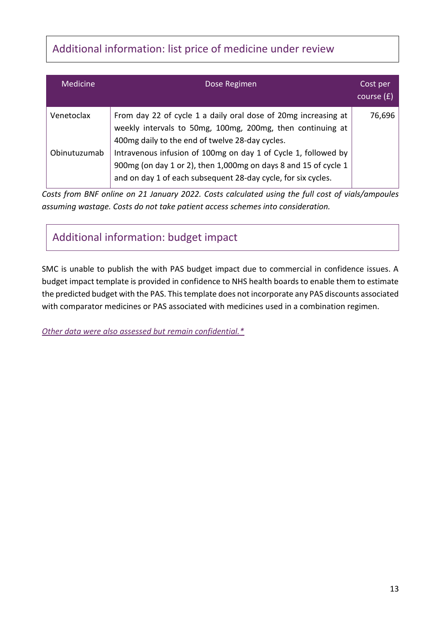# Additional information: list price of medicine under review

| <b>Medicine</b> | Dose Regimen                                                                                                                                                                                       | Cost per<br>course $(f)$ |
|-----------------|----------------------------------------------------------------------------------------------------------------------------------------------------------------------------------------------------|--------------------------|
| Venetoclax      | From day 22 of cycle 1 a daily oral dose of 20mg increasing at<br>weekly intervals to 50mg, 100mg, 200mg, then continuing at<br>400mg daily to the end of twelve 28-day cycles.                    | 76,696                   |
| Obinutuzumab    | Intravenous infusion of 100mg on day 1 of Cycle 1, followed by<br>900mg (on day 1 or 2), then 1,000mg on days 8 and 15 of cycle 1<br>and on day 1 of each subsequent 28-day cycle, for six cycles. |                          |

*Costs from BNF online on 21 January 2022. Costs calculated using the full cost of vials/ampoules assuming wastage. Costs do not take patient access schemes into consideration.*

Additional information: budget impact

SMC is unable to publish the with PAS budget impact due to commercial in confidence issues. A budget impact template is provided in confidence to NHS health boards to enable them to estimate the predicted budget with the PAS. This template does not incorporate any PAS discounts associated with comparator medicines or PAS associated with medicines used in a combination regimen.

*[Other data were also assessed but remain confidential.\\*](https://www.scottishmedicines.org.uk/media/3572/20180710-release-of-company-data.pdf)*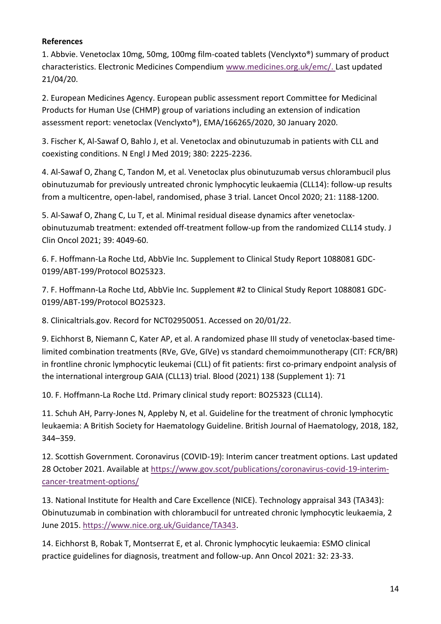#### **References**

1. Abbvie. Venetoclax 10mg, 50mg, 100mg film-coated tablets (Venclyxto®) summary of product characteristics. Electronic Medicines Compendium [www.medicines.org.uk/emc/.](http://www.medicines.org.uk/emc/) Last updated 21/04/20.

2. European Medicines Agency. European public assessment report Committee for Medicinal Products for Human Use (CHMP) group of variations including an extension of indication assessment report: venetoclax (Venclyxto®), EMA/166265/2020, 30 January 2020.

3. Fischer K, Al-Sawaf O, Bahlo J, et al. Venetoclax and obinutuzumab in patients with CLL and coexisting conditions. N Engl J Med 2019; 380: 2225-2236.

4. Al-Sawaf O, Zhang C, Tandon M, et al. Venetoclax plus obinutuzumab versus chlorambucil plus obinutuzumab for previously untreated chronic lymphocytic leukaemia (CLL14): follow-up results from a multicentre, open-label, randomised, phase 3 trial. Lancet Oncol 2020; 21: 1188-1200.

5. Al-Sawaf O, Zhang C, Lu T, et al. Minimal residual disease dynamics after venetoclaxobinutuzumab treatment: extended off-treatment follow-up from the randomized CLL14 study. J Clin Oncol 2021; 39: 4049-60.

6. F. Hoffmann-La Roche Ltd, AbbVie Inc. Supplement to Clinical Study Report 1088081 GDC-0199/ABT-199/Protocol BO25323.

7. F. Hoffmann-La Roche Ltd, AbbVie Inc. Supplement #2 to Clinical Study Report 1088081 GDC-0199/ABT-199/Protocol BO25323.

8. Clinicaltrials.gov. Record for NCT02950051. Accessed on 20/01/22.

9. Eichhorst B, Niemann C, Kater AP, et al. A randomized phase III study of venetoclax-based timelimited combination treatments (RVe, GVe, GIVe) vs standard chemoimmunotherapy (CIT: FCR/BR) in frontline chronic lymphocytic leukemai (CLL) of fit patients: first co-primary endpoint analysis of the international intergroup GAIA (CLL13) trial. Blood (2021) 138 (Supplement 1): 71

10. F. Hoffmann-La Roche Ltd. Primary clinical study report: BO25323 (CLL14).

11. Schuh AH, Parry-Jones N, Appleby N, et al. Guideline for the treatment of chronic lymphocytic leukaemia: A British Society for Haematology Guideline. British Journal of Haematology, 2018, 182, 344–359.

12. Scottish Government. Coronavirus (COVID-19): Interim cancer treatment options. Last updated 28 October 2021. Available at [https://www.gov.scot/publications/coronavirus-covid-19-interim](https://www.gov.scot/publications/coronavirus-covid-19-interim-cancer-treatment-options/)[cancer-treatment-options/](https://www.gov.scot/publications/coronavirus-covid-19-interim-cancer-treatment-options/)

13. National Institute for Health and Care Excellence (NICE). Technology appraisal 343 (TA343): Obinutuzumab in combination with chlorambucil for untreated chronic lymphocytic leukaemia, 2 June 2015. [https://www.nice.org.uk/Guidance/TA343.](https://www.nice.org.uk/Guidance/TA343)

14. Eichhorst B, Robak T, Montserrat E, et al. Chronic lymphocytic leukaemia: ESMO clinical practice guidelines for diagnosis, treatment and follow-up. Ann Oncol 2021: 32: 23-33.